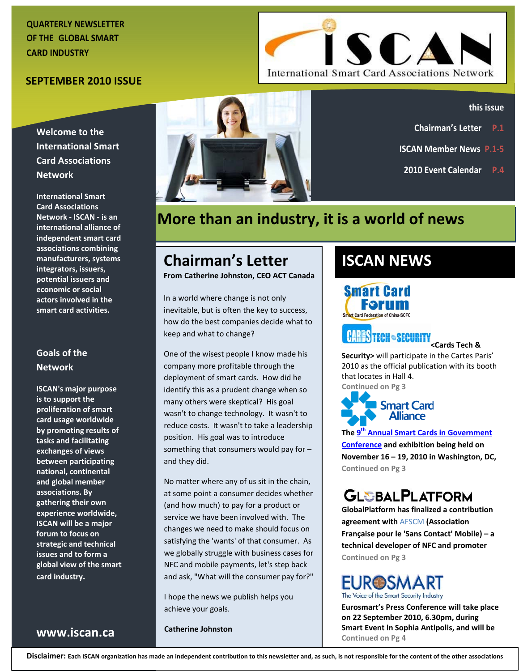### **QUARTERLY NEWSLETTER OF THE GLOBAL SMART CARD INDUSTRY**

### **SEPTEMBER 2010 ISSUE**

**Welcome to the International Smart Card Associations Network**

**International Smart Card Associations Network ‐ ISCAN ‐ is an international alliance of independent smart card associations combining manufacturers, systems integrators, issuers, potential issuers and economic or social actors involved in the smart card activities.**

### **Goals of the Network**

**ISCAN's major purpose is to support the proliferation of smart card usage worldwide by promoting results of tasks and facilitating exchanges of views between participating national, continental and global member associations. By gathering their own experience worldwide, ISCAN will be a major forum to focus on strategic and technical issues and to form a global view of the smart card industry.**

**www.iscan.ca**





#### **this issue**

- **Chairman's Letter P.1**
- **ISCAN Member News P.1‐5**
- **2010 Event Calendar P.4**

# **More than an industry, it is a world of news**

# **Chairman's Letter**

**From Catherine Johnston, CEO ACT Canada**

In a world where change is not only inevitable, but is often the key to success, how do the best companies decide what to keep and what to change?

One of the wisest people I know made his company more profitable through the deployment of smart cards. How did he identify this as a prudent change when so many others were skeptical? His goal wasn't to change technology. It wasn't to reduce costs. It wasn't to take a leadership position. His goal was to introduce something that consumers would pay for – and they did.

No matter where any of us sit in the chain, at some point a consumer decides whether (and how much) to pay for a product or service we have been involved with. The changes we need to make should focus on satisfying the 'wants' of that consumer. As we globally struggle with business cases for NFC and mobile payments, let's step back and ask, "What will the consumer pay for?"

I hope the news we publish helps you achieve your goals.

**Catherine Johnston**

# **ISCAN NEWS**

**Smart Card** 

# **CARES TECH · SECURITY**<br><Cards Tech &

**Security>** will participate in the Cartes Paris' 2010 as the official publication with its booth that locates in Hall 4. **Continued on Pg 3**



**The [9](http://www.cvent.com/EVENTS/Info/Summary.aspx?e=2cab8710-b2b9-4d0a-ab2e-8e7cc9e368e5)[th](http://www.cvent.com/EVENTS/Info/Summary.aspx?e=2cab8710-b2b9-4d0a-ab2e-8e7cc9e368e5) Annual Smart Cards in [Government](http://www.cvent.com/EVENTS/Info/Summary.aspx?e=2cab8710-b2b9-4d0a-ab2e-8e7cc9e368e5) [Conference](http://www.cvent.com/EVENTS/Info/Summary.aspx?e=2cab8710-b2b9-4d0a-ab2e-8e7cc9e368e5) and exhibition being held on November 16 – 19, 2010 in Washington, DC, Continued on Pg 3**

# **GLOBALPLATFORM**

**GlobalPlatform has finalized a contribution agreement with** AFSCM **(Association Française pour le 'Sans Contact' Mobile) – a technical developer of NFC and promoter Continued on Pg 3**

### **EUR@SMART** The Voice of the Smart Security Industry

**Eurosmart's Press Conference will take place on 22 September 2010, 6.30pm, during Smart Event in Sophia Antipolis, and will be Continued on Pg 4**

Disclaimer: Each ISCAN organization has made an independent contribution to this newsletter and, as such, is not responsible for the content of the other associations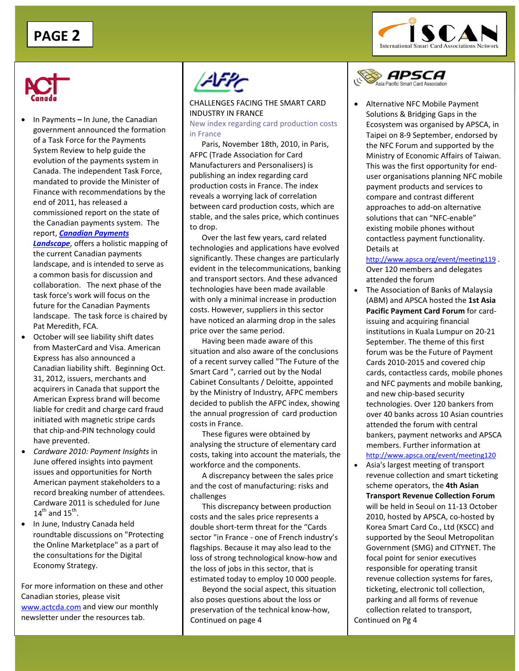



• In Payments **–** In June, the Canadian government announced the formation of a Task Force for the Payments System Review to help guide the evolution of the payments system in Canada. The independent Task Force, mandated to provide the Minister of Finance with recommendations by the end of 2011, has released a commissioned report on the state of the Canadian payments system. The report, *Canadian [Payments](http://paymentsystemreview.ca/index.php/learn/the-canadian-payment-system/)*

*[Landscape](http://paymentsystemreview.ca/index.php/learn/the-canadian-payment-system/)*, offers a holistic mapping of the current Canadian payments landscape, and is intended to serve as a common basis for discussion and collaboration. The next phase of the task force's work will focus on the future for the Canadian Payments landscape. The task force is chaired by Pat Meredith, FCA.

- October will see liability shift dates from MasterCard and Visa. American Express has also announced a Canadian liability shift. Beginning Oct. 31, 2012, issuers, merchants and acquirers in Canada that support the American Express brand will become liable for credit and charge card fraud initiated with magnetic stripe cards that chip‐and‐PIN technology could have prevented.
- *Cardware 2010: Payment Insights* in June offered insights into payment issues and opportunities for North American payment stakeholders to a record breaking number of attendees. Cardware 2011 is scheduled for June  $14^{\text{th}}$  and  $15^{\text{th}}$ .
- In June, Industry Canada held roundtable discussions on "Protecting the Online Marketplace" as a part of the consultations for the Digital Economy Strategy.

For more information on these and other Canadian stories, please visit [www.actcda.com](http://www.actcda.com/) and view our monthly newsletter under the resources tab.



 CHALLENGES FACING THE SMART CARD INDUSTRY IN FRANCE

New index regarding card production costs in France

Paris, November 18th, 2010, in Paris, AFPC (Trade Association for Card Manufacturers and Personalisers) is publishing an index regarding card production costs in France. The index reveals a worrying lack of correlation between card production costs, which are stable, and the sales price, which continues to drop.

Over the last few years, card related technologies and applications have evolved significantly. These changes are particularly evident in the telecommunications, banking and transport sectors. And these advanced technologies have been made available with only a minimal increase in production costs. However, suppliers in this sector have noticed an alarming drop in the sales price over the same period.

Having been made aware of this situation and also aware of the conclusions of a recent survey called "The Future of the Smart Card ", carried out by the Nodal Cabinet Consultants / Deloitte, appointed by the Ministry of Industry, AFPC members decided to publish the AFPC index, showing the annual progression of card production costs in France.

These figures were obtained by analysing the structure of elementary card costs, taking into account the materials, the workforce and the components.

A discrepancy between the sales price and the cost of manufacturing: risks and challenges

This discrepancy between production costs and the sales price represents a double short‐term threat for the "Cards sector "in France ‐ one of French industry's flagships. Because it may also lead to the loss of strong technological know‐how and the loss of jobs in this sector, that is estimated today to employ 10 000 people.

Beyond the social aspect, this situation also poses questions about the loss or preservation of the technical know‐how, Continued on page 4 Continued on Pg 4



• Alternative NFC Mobile Payment Solutions & Bridging Gaps in the Ecosystem was organised by APSCA, in Taipei on 8‐9 September, endorsed by the NFC Forum and supported by the Ministry of Economic Affairs of Taiwan. This was the first opportunity for end‐ user organisations planning NFC mobile payment products and services to compare and contrast different approaches to add‐on alternative solutions that can "NFC‐enable" existing mobile phones without contactless payment functionality. Details at

<http://www.apsca.org/event/meeting119> . Over 120 members and delegates attended the forum

- The Association of Banks of Malaysia (ABM) and APSCA hosted the **1st Asia Pacific Payment Card Forum** for card‐ issuing and acquiring financial institutions in Kuala Lumpur on 20‐21 September. The theme of this first forum was be the Future of Payment Cards 2010‐2015 and covered chip cards, contactless cards, mobile phones and NFC payments and mobile banking, and new chip‐based security technologies. Over 120 bankers from over 40 banks across 10 Asian countries attended the forum with central bankers, payment networks and APSCA members. Further information at <http://www.apsca.org/event/meeting120>
- Asia's largest meeting of transport revenue collection and smart ticketing scheme operators, the **4th Asian Transport Revenue Collection Forum** will be held in Seoul on 11‐13 October 2010, hosted by APSCA, co‐hosted by Korea Smart Card Co., Ltd (KSCC) and supported by the Seoul Metropolitan Government (SMG) and CITYNET. The focal point for senior executives responsible for operating transit revenue collection systems for fares, ticketing, electronic toll collection, parking and all forms of revenue collection related to transport,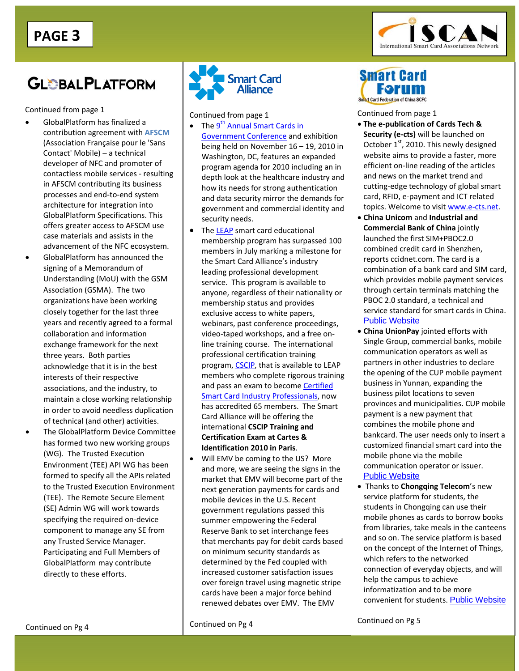

# **GLOBALPLATFORM**

Continued from page 1

- GlobalPlatform has finalized a contribution agreement with **AFSCM** (Association Française pour le 'Sans Contact' Mobile) – a technical developer of NFC and promoter of contactless mobile services ‐ resulting in AFSCM contributing its business processes and end‐to‐end system architecture for integration into GlobalPlatform Specifications. This offers greater access to AFSCM use case materials and assists in the advancement of the NFC ecosystem.
- GlobalPlatform has announced the signing of a Memorandum of Understanding (MoU) with the GSM Association (GSMA). The two organizations have been working closely together for the last three years and recently agreed to a formal collaboration and information exchange framework for the next three years. Both parties acknowledge that it is in the best interests of their respective associations, and the industry, to maintain a close working relationship in order to avoid needless duplication of technical (and other) activities.
- The GlobalPlatform Device Committee has formed two new working groups (WG). The Trusted Execution Environment (TEE) API WG has been formed to specify all the APIs related to the Trusted Execution Environment (TEE). The Remote Secure Element (SE) Admin WG will work towards specifying the required on‐device component to manage any SE from any Trusted Service Manager. Participating and Full Members of GlobalPlatform may contribute directly to these efforts.



Continued from page 1

- [Government](http://www.cvent.com/EVENTS/Info/Summary.aspx?e=2cab8710-b2b9-4d0a-ab2e-8e7cc9e368e5) Conference and exhibition • The  $9^{th}$  [Annual](http://www.cvent.com/EVENTS/Info/Summary.aspx?e=2cab8710-b2b9-4d0a-ab2e-8e7cc9e368e5) Smart Cards in being held on November 16 – 19, 2010 in Washington, DC, features an expanded program agenda for 2010 including an in depth look at the healthcare industry and how its needs for strong authentication and data security mirror the demands for government and commercial identity and security needs.
- The [LEAP](http://www.smartcardalliance.org/pages/activities-leap) smart card educational membership program has surpassed 100 members in July marking a milestone for the Smart Card Alliance's industry leading professional development service. This program is available to anyone, regardless of their nationality or membership status and provides exclusive access to white papers, webinars, past conference proceedings, video‐taped workshops, and a free on‐ line training course. The international professional certification training program, [CSCIP,](http://www.smartcardalliance.org/pages/activities-leap#cscip) that is available to LEAP members who complete rigorous training and pass an exam to become [Certified](http://www.smartcardalliance.org/pages/activities-leap#cscip) Smart Card Industry [Professionals,](http://www.smartcardalliance.org/pages/activities-leap#cscip) now has accredited 65 members. The Smart Card Alliance will be offering the international **CSCIP Training and Certification Exam at Cartes & Identification 2010 in Paris**.
- Will EMV be coming to the US? More and more, we are seeing the signs in the market that EMV will become part of the next generation payments for cards and mobile devices in the U.S. Recent government regulations passed this summer empowering the Federal Reserve Bank to set interchange fees that merchants pay for debit cards based on minimum security standards as determined by the Fed coupled with increased customer satisfaction issues over foreign travel using magnetic stripe cards have been a major force behind renewed debates over EMV. The EMV

Continued on Pg 4

### **Smart Card** Forum Smart Card Federation of China-

Continued from page 1

- **The e‐publication of Cards Tech & Security (e‐cts)** will be launched on October 1st, 2010. This newly designed website aims to provide a faster, more efficient on‐line reading of the articles and news on the market trend and cutting‐edge technology of global smart card, RFID, e‐payment and ICT related topics. Welcome to visit [www.e](http://www.e-cts.net/)‐cts.net.
- **China Unicom** and **Industrial and Commercial Bank of China** jointly launched the first SIM+PBOC2.0 combined credit card in Shenzhen, reports ccidnet.com. The card is a combination of a bank card and SIM card, which provides mobile payment services through certain terminals matching the PBOC 2.0 standard, a technical and service standard for smart cards in China. [Public Website](http://scfc.org.cn/record1_e.php?Primary=1&Logic=1&ID=6105)
- **China UnionPay** jointed efforts with Single Group, commercial banks, mobile communication operators as well as partners in other industries to declare the opening of the CUP mobile payment business in Yunnan, expanding the business pilot locations to seven provinces and municipalities. CUP mobile payment is a new payment that combines the mobile phone and bankcard. The user needs only to insert a customized financial smart card into the mobile phone via the mobile communication operator or issuer. [Public Website](http://scfc.org.cn/record1_e.php?Primary=1&Logic=1&ID=6080)
- Thanks to **Chongqing Telecom**'s new service platform for students, the students in Chongqing can use their mobile phones as cards to borrow books from libraries, take meals in the canteens and so on. The service platform is based on the concept of the Internet of Things, which refers to the networked connection of everyday objects, and will help the campus to achieve informatization and to be more convenient for students. [Public Website](http://scfc.org.cn/record1_e.php?Primary=1&Logic=1&ID=6111)

Continued on Pg 5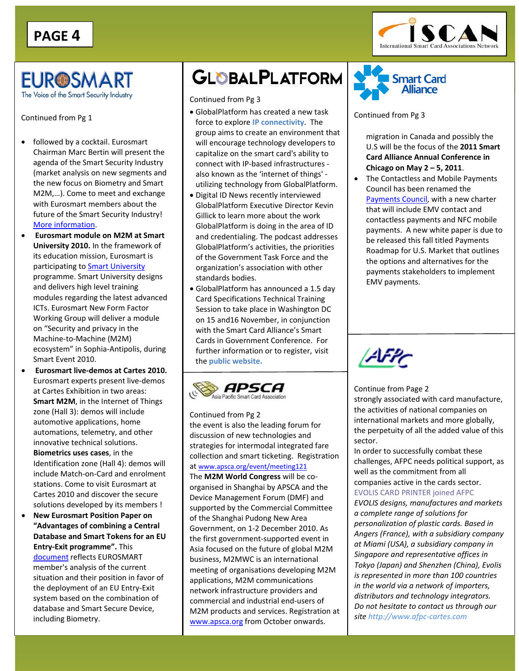

### **EUR@SMART** The Voice of the Smart Security Industry

Continued from Pg 1

- followed by a cocktail. Eurosmart Chairman Marc Bertin will present the agenda of the Smart Security Industry (market analysis on new segments and the new focus on Biometry and Smart M2M,…). Come to meet and exchange with Eurosmart members about the future of the Smart Security Industry! More [information](http://www.eurosmart.com/images/doc/EurosmartPR/invitation-web2.pdf).
- **Eurosmart module on M2M at Smart University 2010.** In the framework of its education mission, Eurosmart is participating to Smart [University](http://www.smart-university.eu/) programme. Smart University designs and delivers high level training modules regarding the latest advanced ICTs. Eurosmart New Form Factor Working Group will deliver a module on "Security and privacy in the Machine‐to‐Machine (M2M) ecosystem" in Sophia‐Antipolis, during Smart Event 2010.
- **Eurosmart live‐demos at Cartes 2010.** Eurosmart experts present live‐demos at Cartes Exhibition in two areas: **Smart M2M**, in the Internet of Things zone (Hall 3): demos will include automotive applications, home automations, telemetry, and other innovative technical solutions. **Biometrics uses cases**, in the Identification zone (Hall 4): demos will include Match‐on‐Card and enrolment stations. Come to visit Eurosmart at Cartes 2010 and discover the secure solutions developed by its members !
- **New Eurosmart Position Paper on "Advantages of combining a Central Database and Smart Tokens for an EU Entry‐Exit programme".** This [document](http://www.eurosmart.com/images/doc/WorkingGroups/e-ID/Papers/eurosmartpp_on_an_eu_entry-exit_programme_finalversion.pdf) reflects EUROSMART member's analysis of the current situation and their position in favor of the deployment of an EU Entry‐Exit system based on the combination of database and Smart Secure Device, including Biometry.

# **GLOBALPLATFORM**

Continued from Pg 3

- GlobalPlatform has created a new task force to explore **IP connectivity**. The group aims to create an environment that will encourage technology developers to capitalize on the smart card's ability to connect with IP‐based infrastructures ‐ also known as the 'internet of things' ‐ utilizing technology from GlobalPlatform.
- Digital ID News recently interviewed GlobalPlatform Executive Director Kevin Gillick to learn more about the work GlobalPlatform is doing in the area of ID and credentialing. The podcast addresses GlobalPlatform's activities, the priorities of the Government Task Force and the organization's association with other standards bodies.
- GlobalPlatform has announced a 1.5 day Card Specifications Technical Training Session to take place in Washington DC on 15 and16 November, in conjunction with the Smart Card Alliance's Smart Cards in Government Conference. For further information or to register, visit the **public website.**



Continued from Pg 2

the event is also the leading forum for discussion of new technologies and strategies for intermodal integrated fare collection and smart ticketing. Registration at [www.apsca.org/event/meeting121](http://www.apsca.org/event/meeting121) The **M2M World Congress** will be co‐ organised in Shanghai by APSCA and the Device Management Forum (DMF) and supported by the Commercial Committee of the Shanghai Pudong New Area Government, on 1‐2 December 2010. As the first government‐supported event in Asia focused on the future of global M2M business, M2MWC is an international meeting of organisations developing M2M applications, M2M communications network infrastructure providers and commercial and industrial end‐users of M2M products and services. Registration at [www.apsca.org](http://www.apsca.org/) from October onwards.



#### Continued from Pg 3

migration in Canada and possibly the U.S will be the focus of the **2011 Smart Card Alliance Annual Conference in Chicago on May 2 – 5, 2011**.

• The Contactless and Mobile Payments Council has been renamed the [Payments](http://www.smartcardalliance.org/pages/activities-councils-payments) Council, with a new charter that will include EMV contact and contactless payments and NFC mobile payments. A new white paper is due to be released this fall titled Payments Roadmap for U.S. Market that outlines the options and alternatives for the payments stakeholders to implement EMV payments.



Continue from Page 2 strongly associated with card manufacture, the activities of national companies on international markets and more globally, the perpetuity of all the added value of this sector.

In order to successfully combat these challenges, AFPC needs political support, as well as the commitment from all companies active in the cards sector.

### EVOLIS CARD PRINTER joined AFPC

*EVOLIS designs, manufactures and markets a complete range of solutions for personalization of plastic cards. Based in Angers (France), with a subsidiary company at Miami (USA), a subsidiary company in Singapore and representative offices in Tokyo (Japan) and Shenzhen (China), Evolis is represented in more than 100 countries in the world via a network of importers, distributors and technology integrators. Do not hesitate to contact us through our site http://www.afpc‐cartes.com*